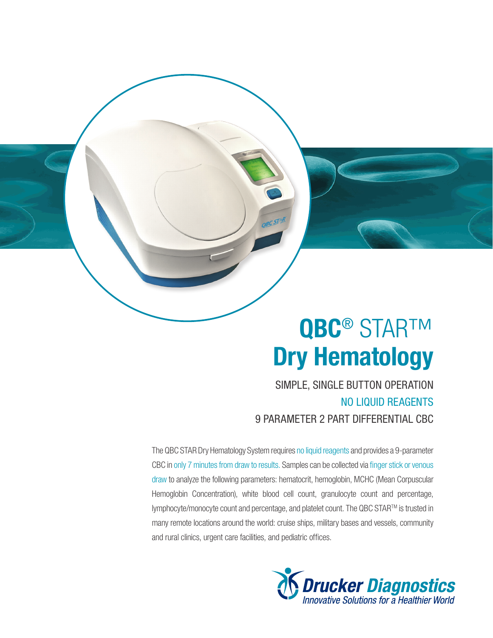# QBC<sup>®</sup> STAR™ Dry Hematology

SIMPLE, SINGLE BUTTON OPERATION NO LIQUID REAGENTS 9 PARAMETER 2 PART DIFFERENTIAL CBC

The QBC STAR Dry Hematology System requires no liquid reagents and provides a 9-parameter CBC in only 7 minutes from draw to results. Samples can be collected via finger stick or venous draw to analyze the following parameters: hematocrit, hemoglobin, MCHC (Mean Corpuscular Hemoglobin Concentration), white blood cell count, granulocyte count and percentage, lymphocyte/monocyte count and percentage, and platelet count. The QBC STARTM is trusted in many remote locations around the world: cruise ships, military bases and vessels, community and rural clinics, urgent care facilities, and pediatric offices.